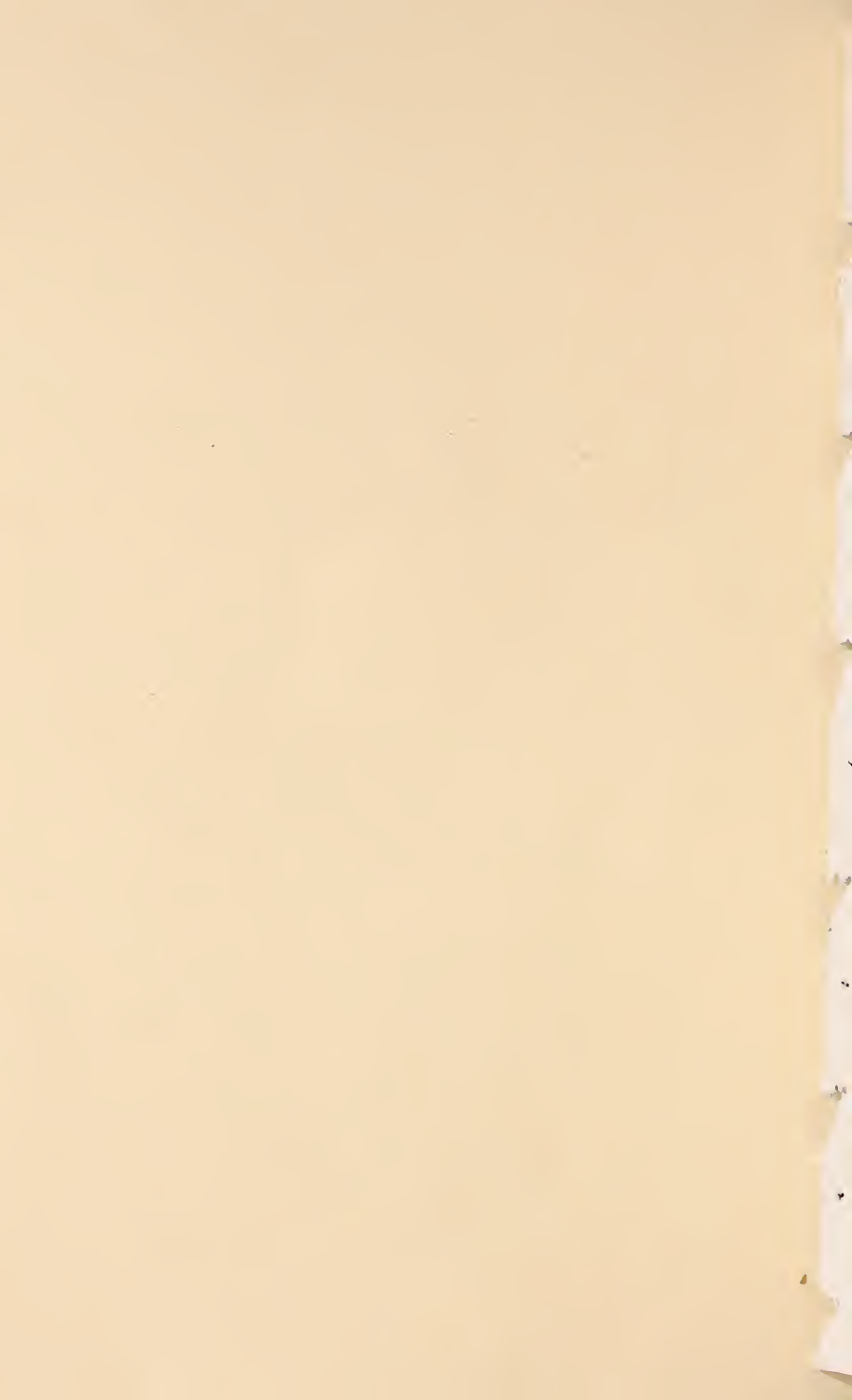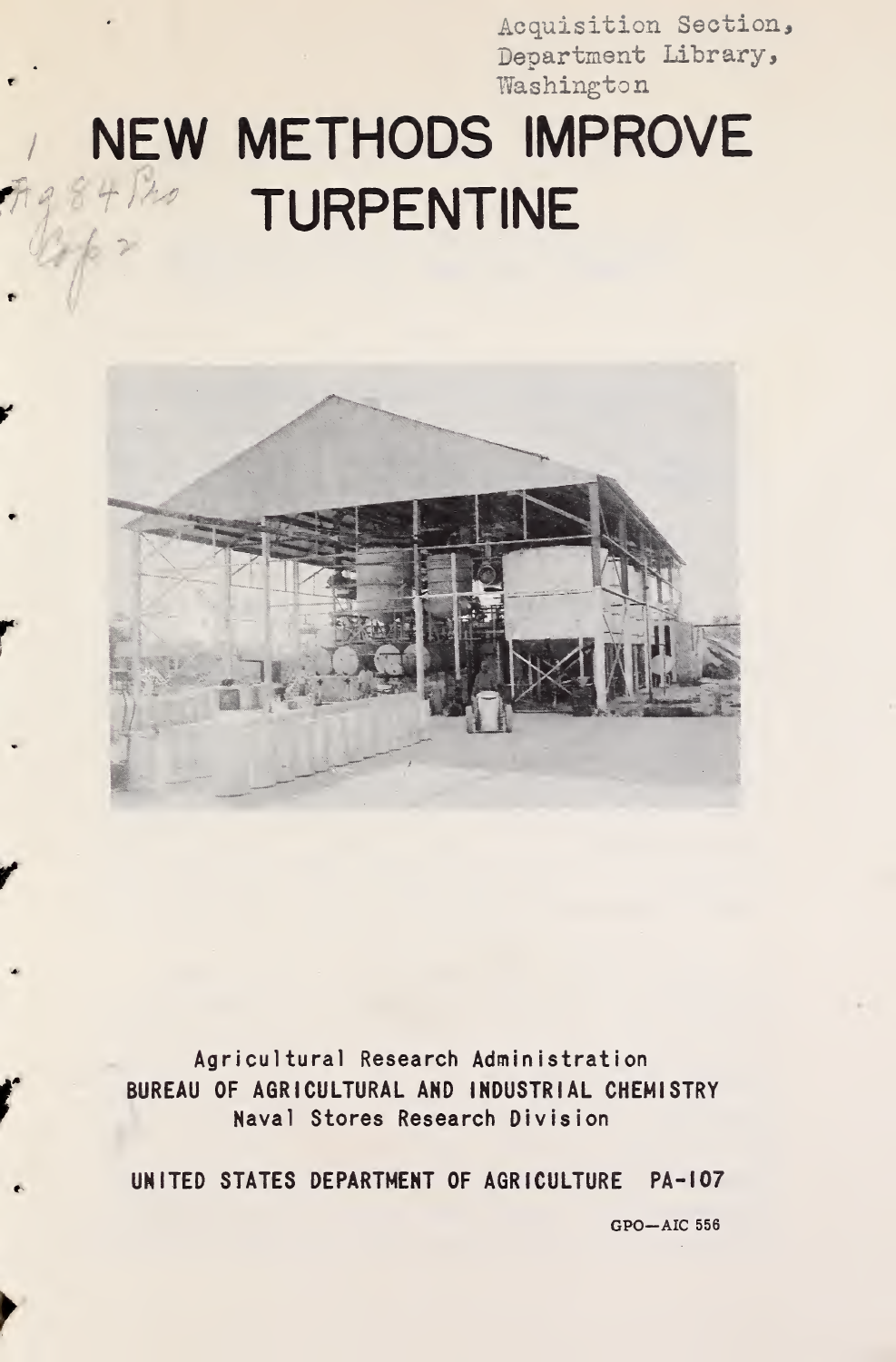Acquisition Section, Department Library, Washington

# NEW METHODS IMPROVE TURPENTINE



Agricultural Research Administration BUREAU OF AGRICULTURAL AND INDUSTRIAL CHEMISTRY Naval Stores Research Division

UNITED STATES DEPARTMENT OF AGRICULTURE PA-107

GPO—AIC <sup>556</sup>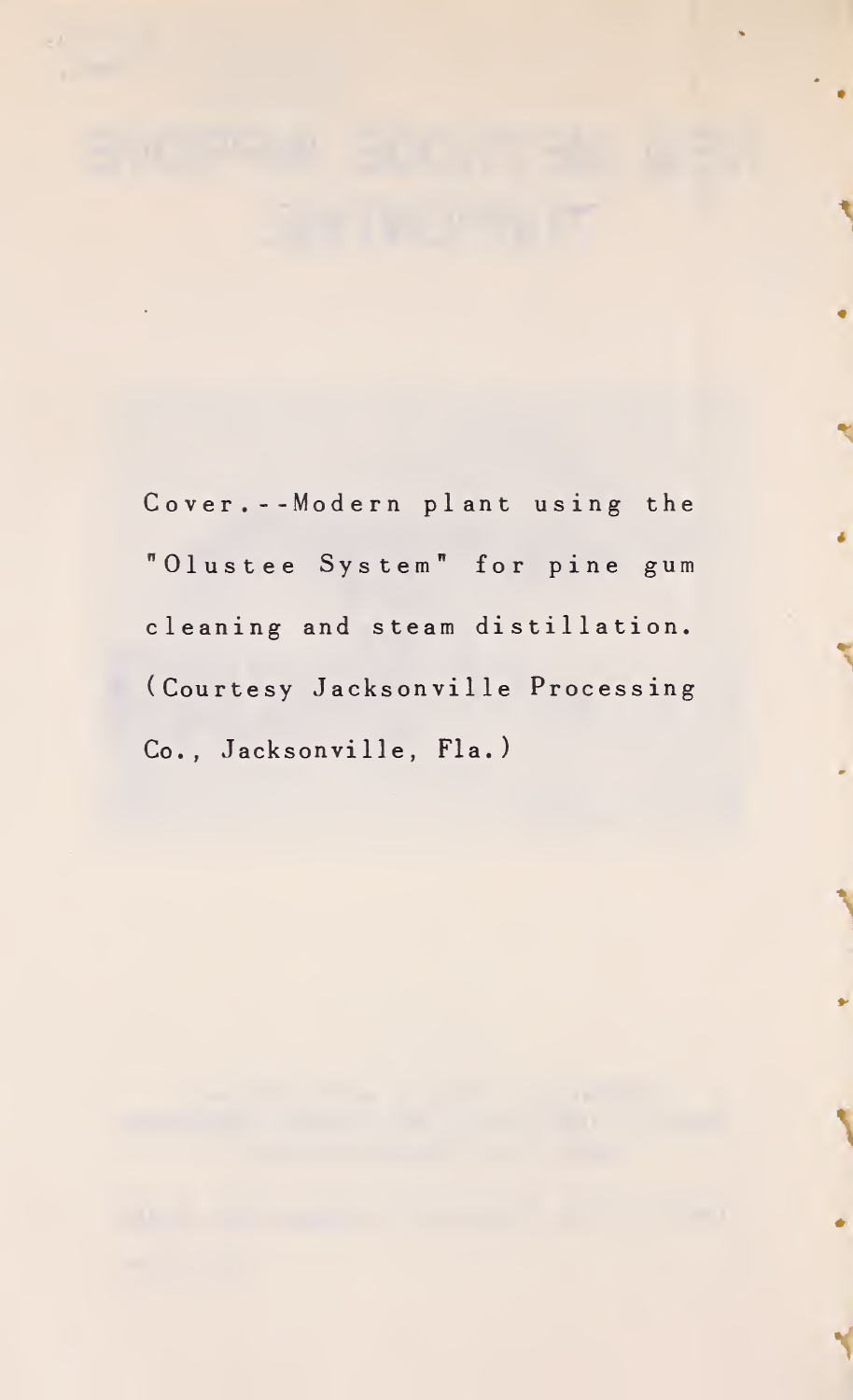Cover . - -Modern plant using the "Olustee System" for pine gum cleaning and steam distillation. (Courtesy Jacksonville Processing Co., Jacksonville, Fla.)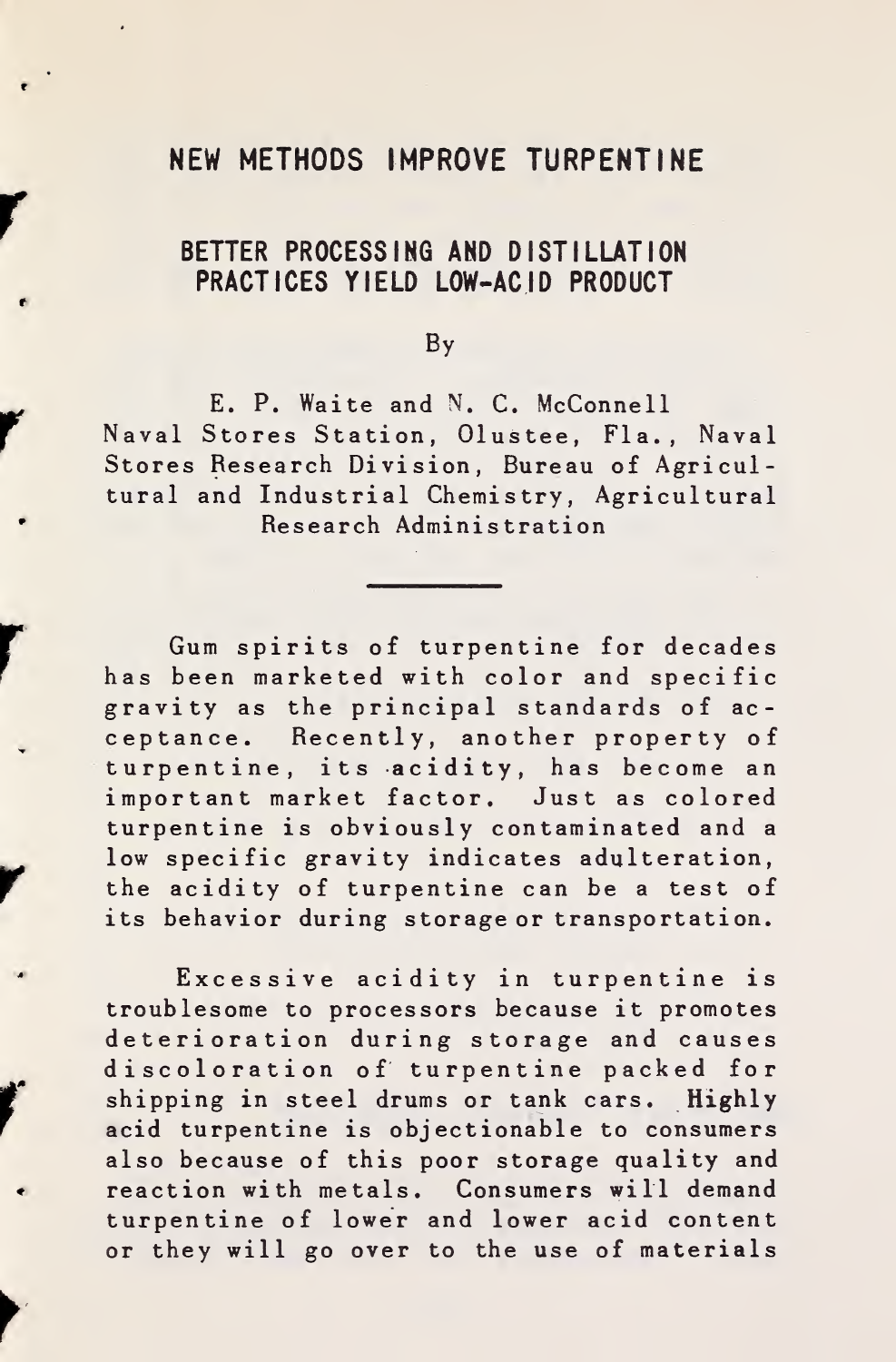## NEW METHODS IMPROVE TURPENTINE

## BETTER PROCESSING AND DISTILLATION PRACTICES YIELD LOW-ACID PRODUCT

#### By

E. P. Waite and N. C. McConnell Naval Stores Station, Olustee, Fla., Naval Stores Research Division, Bureau of Agricultural and Industrial Chemistry, Agricultural Research Administration

Gum spirits of turpentine for decades has been marketed with color and specific gravity as the principal standards of ac ceptance. Recently, another property of turpentine, its acidity, has become an important market factor. Just as colored turpentine is obviously contaminated and <sup>a</sup> low specific gravity indicates adulteration, the acidity of turpentine can be <sup>a</sup> test of its behavior during storage or transportation.

Excessive acidity in turpentine is troublesome to processors because it promotes deterioration during storage and causes discoloration of turpentine packed for shipping in steel drums or tank cars. Highly acid turpentine is objectionable to consumers also because of this poor storage quality and reaction with metals. Consumers will demand turpentine of lower and lower acid content or they will go over to the use of materials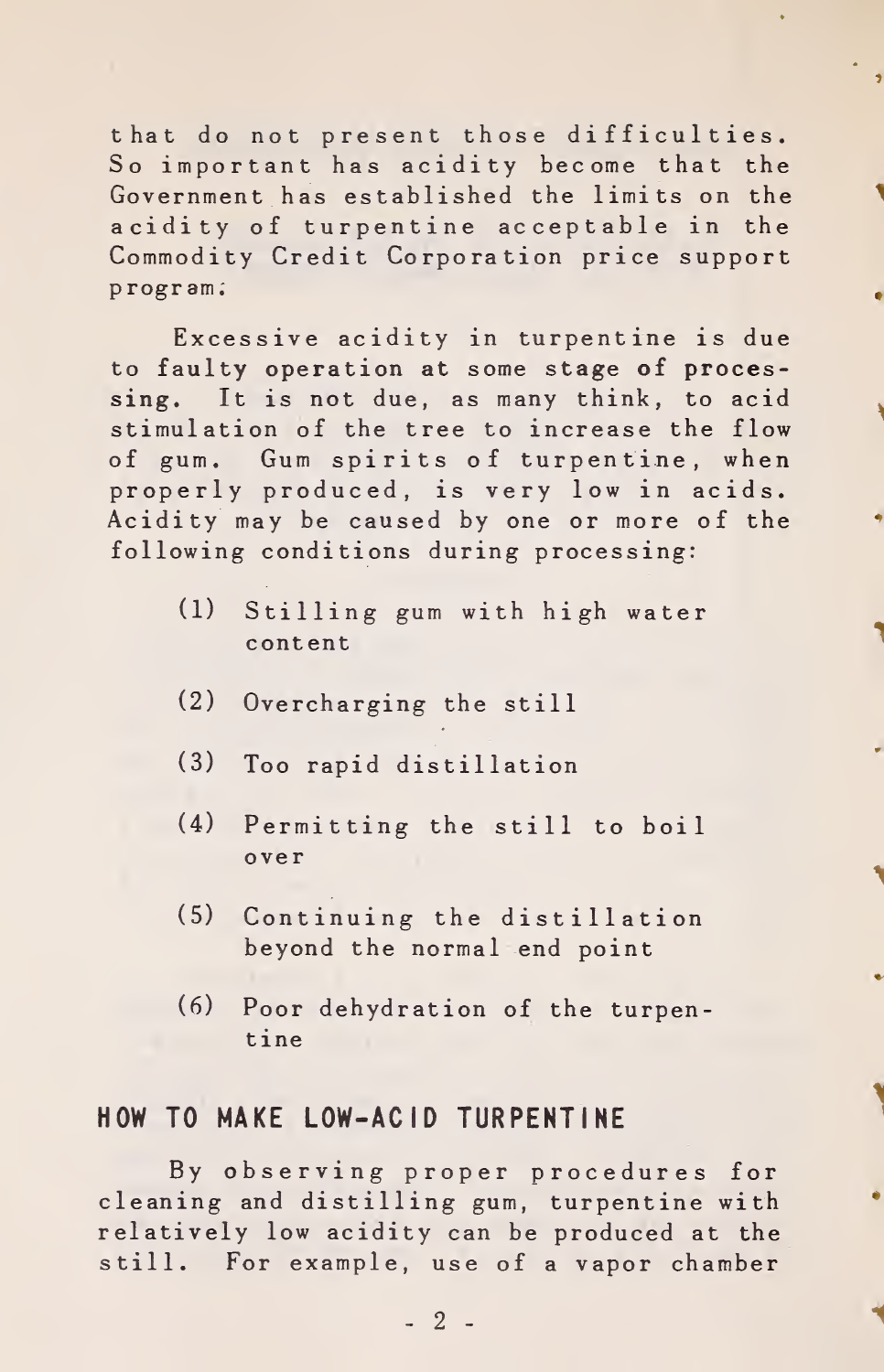that do not present those difficulties. So important has acidity become that the Government has established the limits on the acidity of turpentine acceptable in the Commodity Credit Corporation price support program;

 $\overline{\phantom{a}}$ 

Excessive acidity in turpentine is due to faulty operation at some stage of processing. It is not due, as many think, to acid stimulation of the tree to increase the flow of gum. Gum spirits of turpentine, when properly produced, is very low in acids. Acidity may be caused by one or more of the following conditions during processing:

- (1) Stilling gum with high water cont ent
- (2) Overcharging the still
- (3) Too rapid distillation
- (4) Permitting the still to boil over
- (5) Continuing the distillation beyond the normal end point
- (6) Poor dehydration of the turpentine

#### HOW TO MAKE LOW-ACID TURPENTINE

By observing proper procedures for cleaning and distilling gum, turpentine with relatively low acidity can be produced at the still. For example, use of <sup>a</sup> vapor chamber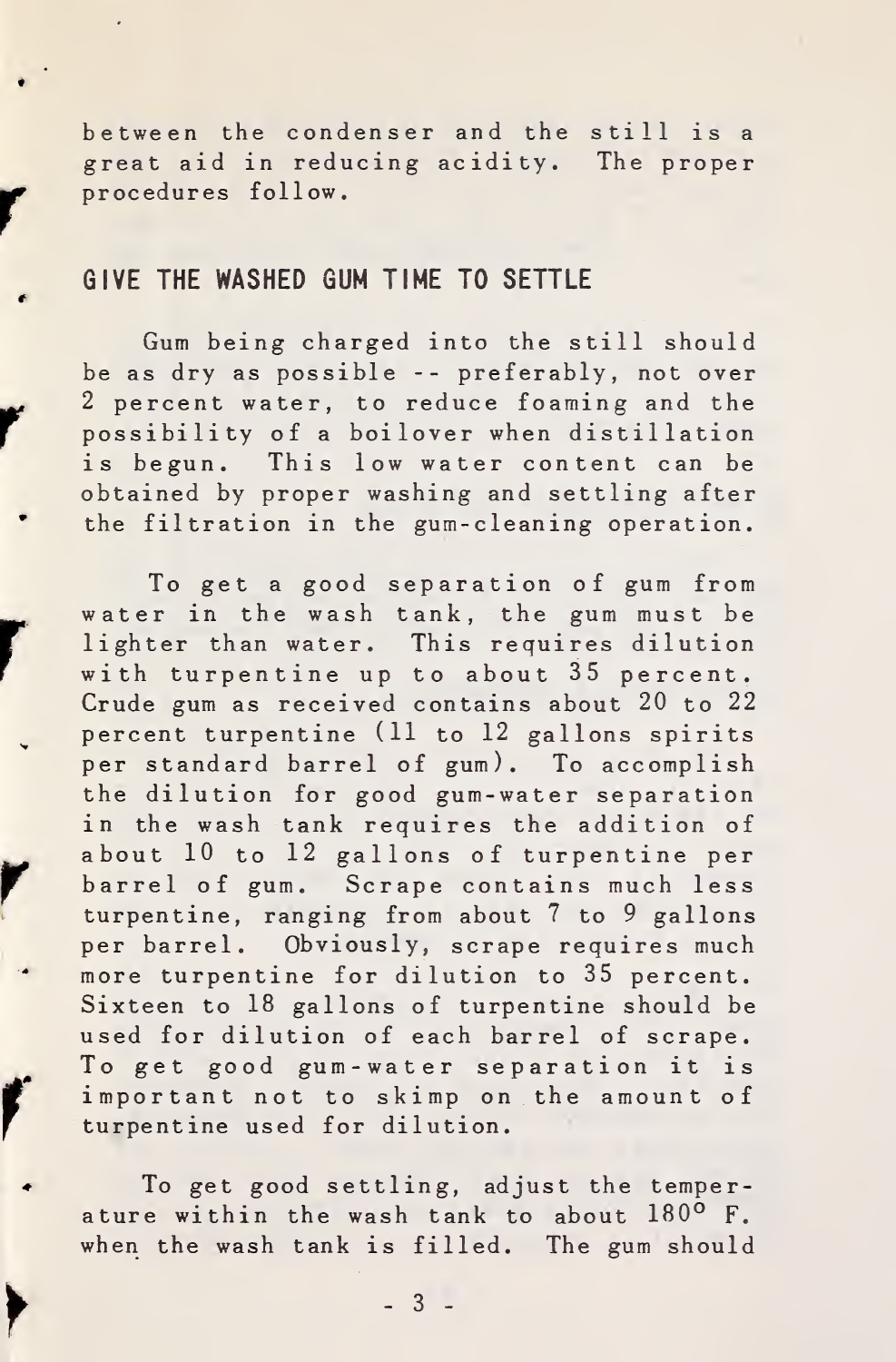between the condenser and the still is a great aid in reducing acidity, The proper procedures follow.

#### GIVE THE WASHED GUM TIME TO SETTLE

Gum being charged into the still should be as dry as possible -- preferably, not over <sup>2</sup> percent water, to reduce foaming and the possibility of a boilover when distillation is begun. This low water content can be obtained by proper washing and settling after the filtration in the gum-cleaning operation.

To get <sup>a</sup> good separation of gum from water in the wash tank, the gum must be lighter than water. This requires dilution with turpentine up to about 35 percent. Crude gum as received contains about 20 to 22 percent turpentine (11 to 12 gallons spirits per standard barrel of gum). To accomplish the dilution for good gum-water separation in the wash tank requires the addition of about 10 to 12 gallons of turpentine per barrel of gum. Scrape contains much less turpentine, ranging from about 7 to 9 gallons per barrel. Obviously, scrape requires much more turpentine for dilution to 35 percent. Sixteen to 18 gallons of turpentine should be used for dilution of each barrel of scrape. To get good gum-water separation it is important not to skimp on the amount of turpentine used for dilution.

To get good settling, adjust the temperature within the wash tank to about 180° F. when the wash tank is filled. The gum should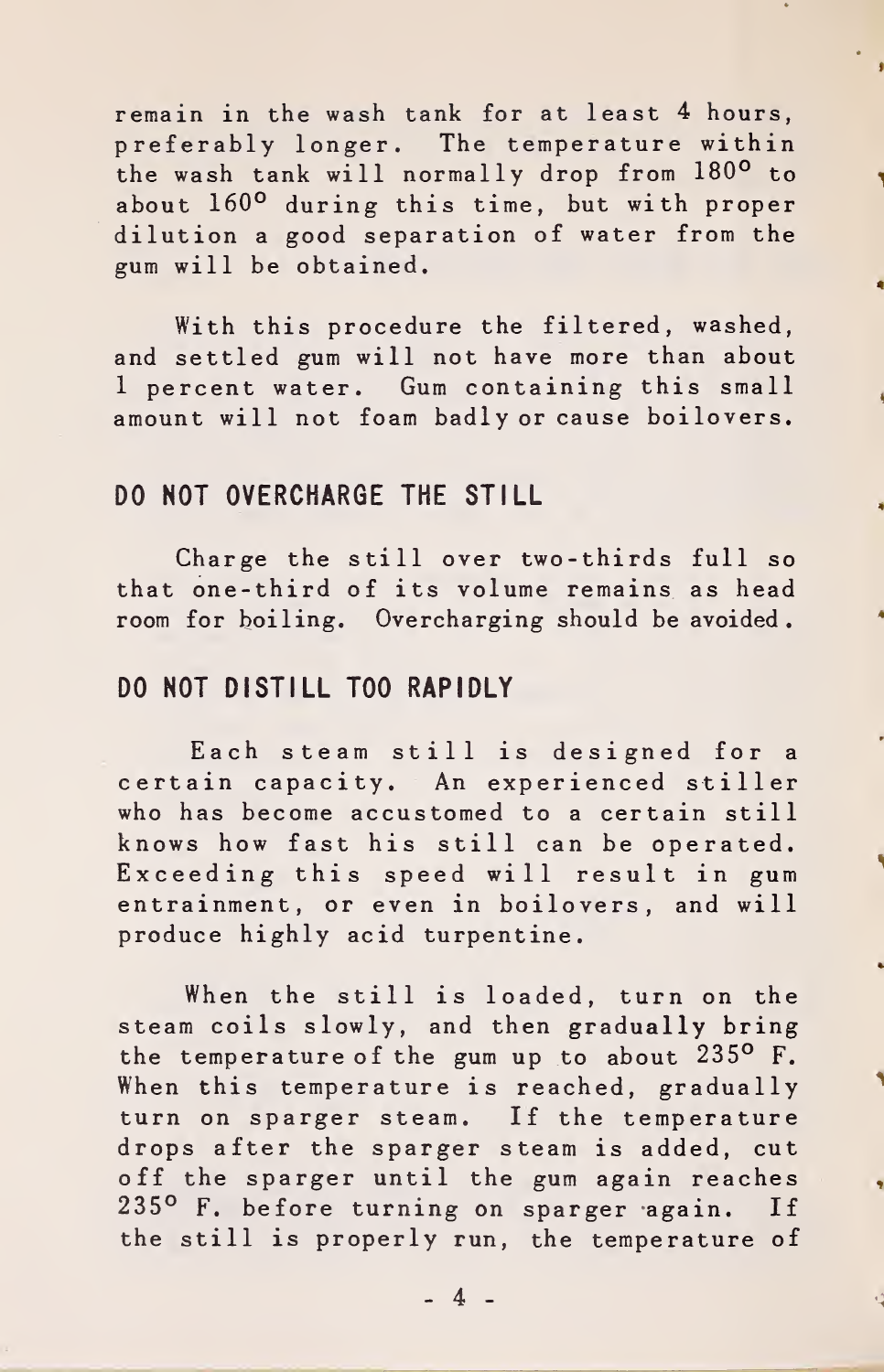remain in the wash tank for at least 4 hours, preferably longer. The temperature within the wash tank will normally drop from 180° to about 160° during this time, but with proper dilution <sup>a</sup> good separation of water from the gum will be obtained.

 $\overline{1}$ 

With this procedure the filtered, washed, and settled gum will not have more than about <sup>1</sup> percent water. Gum containing this small amount will not foam badly or cause boilovers.

### DO NOT OVERCHARGE THE STILL

Charge the still over two-thirds full so that one-third of its volume remains as head room for boiling. Overcharging should be avoided.

## DO NOT DISTILL TOO RAPIDLY

Each steam still is designed for <sup>a</sup> certain capacity. An experienced stiller who has become accustomed to <sup>a</sup> certain still knows how fast his still can be operated. Exceeding this speed will result in gum entrainment, or even in boilovers, and will produce highly acid turpentine.

When the still is loaded, turn on the steam coils slowly, and then gradually bring the temperature of the gum up to about 235° F. When this temperature is reached, gradually turn on sparger steam. If the temperature drops after the sparger steam is added, cut off the sparger until the gum again reaches, 235<sup>o</sup> F. before turning on sparger again. If the still is properly run, the temperature of

- 4 -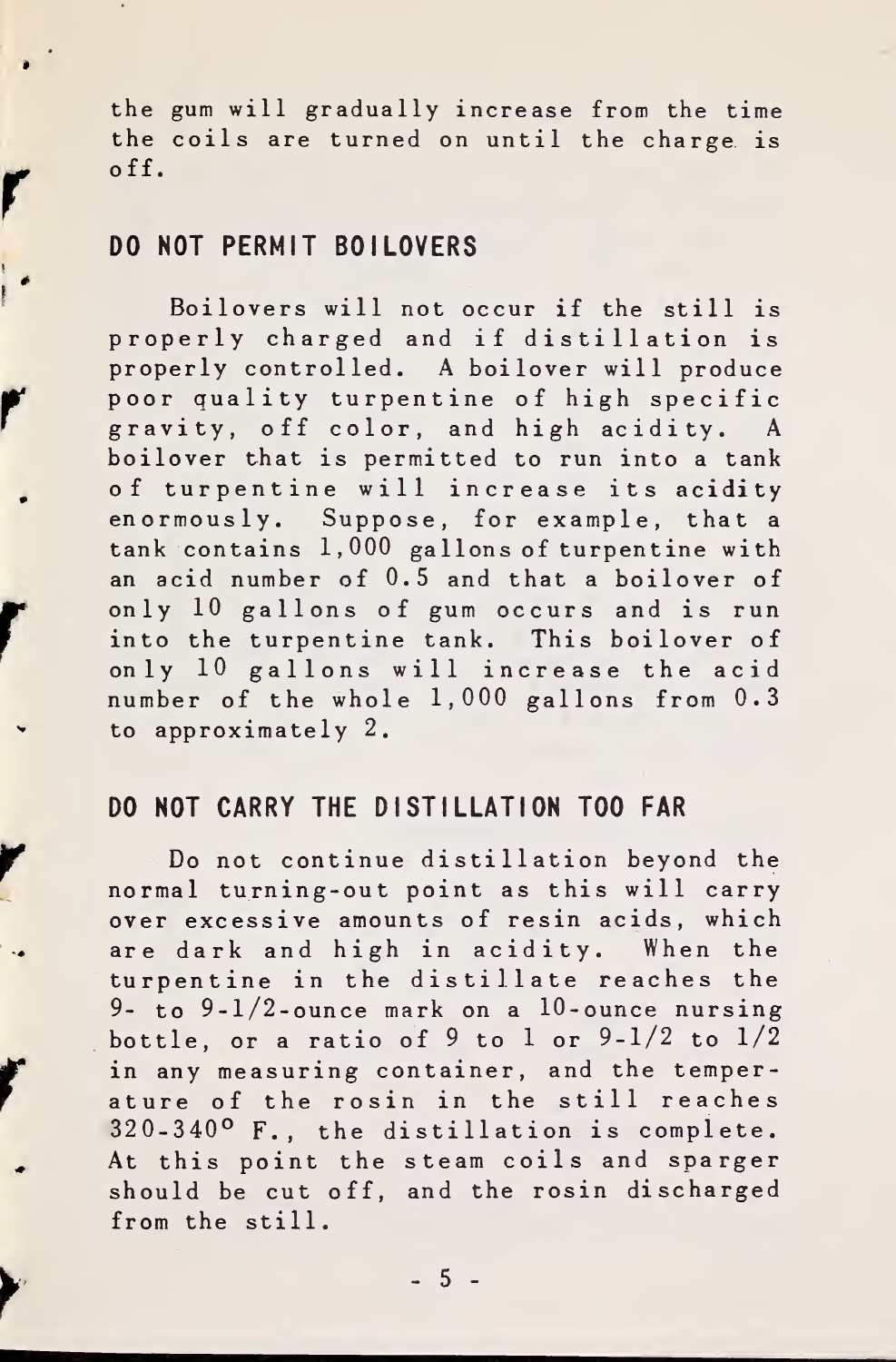the gum will gradually increase from the time the coils are turned on until the charge is off.

## DO NOT PERMIT BOILOVERS

Boilovers will not occur if the still is properly charged and if distillation is properly controlled. A boilover will produce poor quality turpentine of high specific gravity, off color, and high acidity. A boilover that is permitted to run into <sup>a</sup> tank of turpentine will increase its acidity enormously. Suppose, for example, that <sup>a</sup> tank contains 1,000 gallons of turpentine with an acid number of 0.5 and that <sup>a</sup> boilover of only 10 gallons of gum occurs and is run into the turpentine tank. This boilover of only 10 gallons will increase the acid number of the whole 1,000 gallons from 0.3 to approximately 2.

## DO NOT CARRY THE DISTILLATION TOO FAR

Do not continue distillation beyond the normal turning-out point as this will carry over excessive amounts of resin acids, which are dark and high in acidity. When the turpentine in the distillate reaches the 9- to 9-1/2-ounce mark on <sup>a</sup> 10-ounce nursing bottle, or a ratio of 9 to 1 or  $9-1/2$  to  $1/2$ in any measuring container, and the temperature of the rosin in the still reaches  $320-340$ <sup>o</sup> F., the distillation is complete. At this point the steam coils and sparger should be cut off, and the rosin discharged from the still.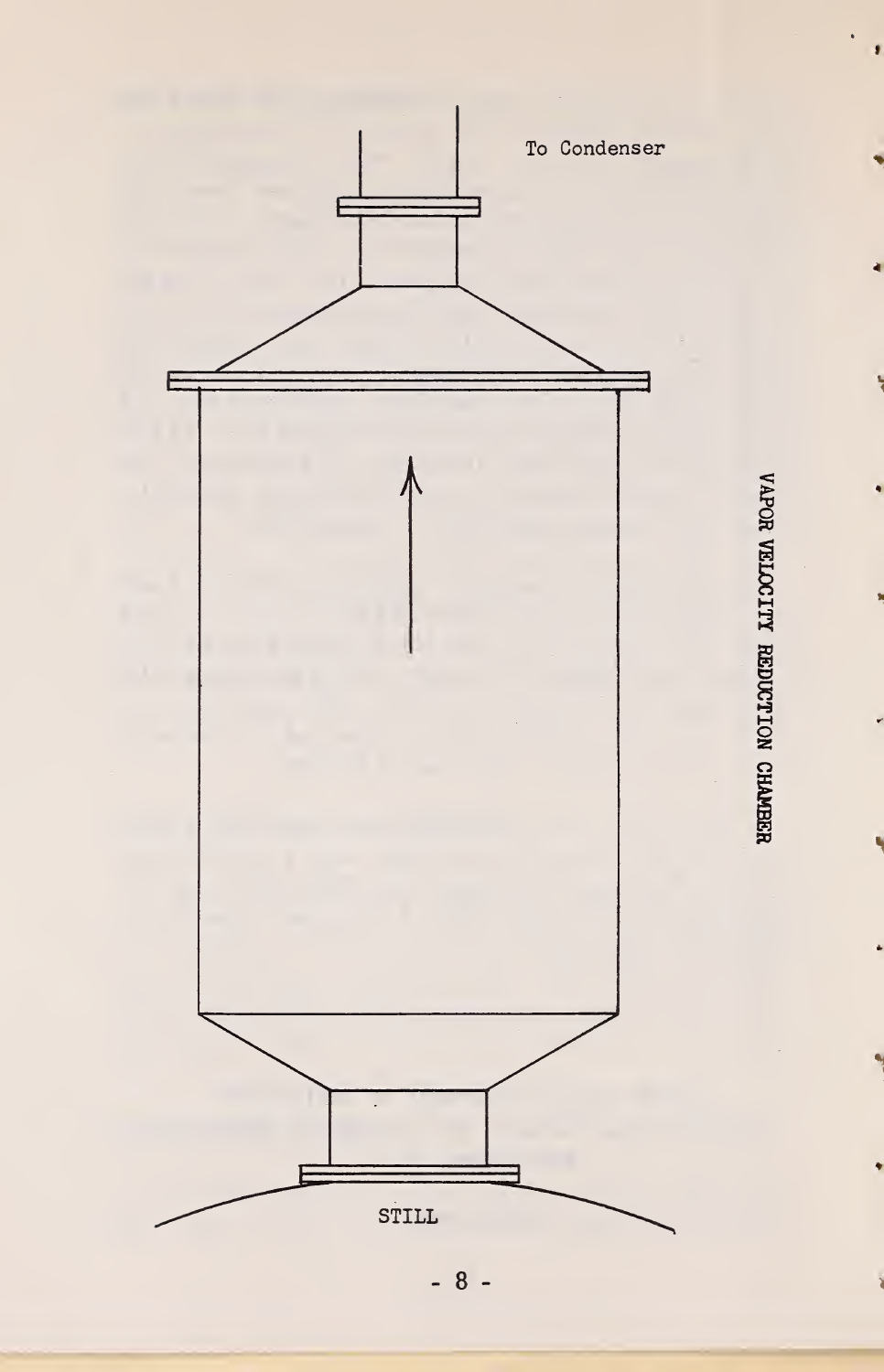